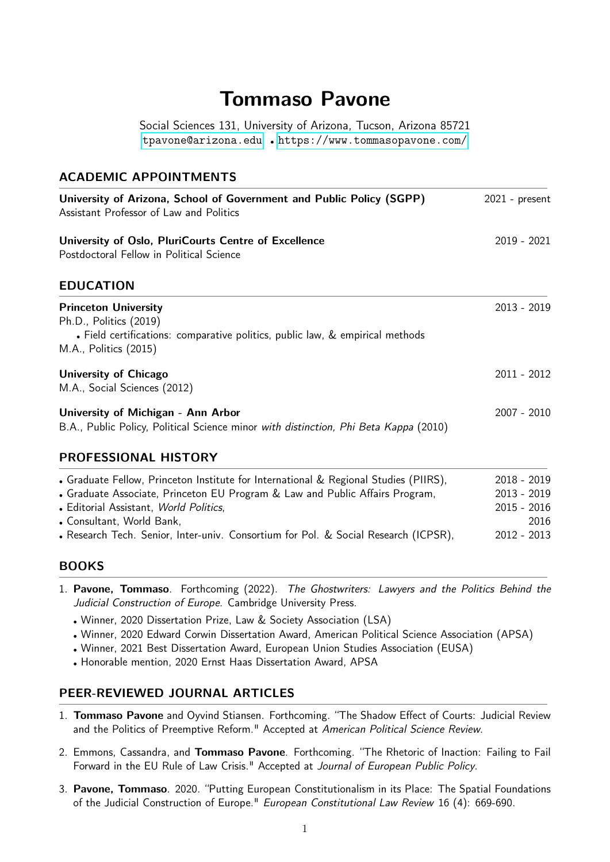# **Tommaso Pavone**

Social Sciences 131, University of Arizona, Tucson, Arizona 85721 <tpavone@arizona.edu> • <https://www.tommasopavone.com/>

#### **ACADEMIC APPOINTMENTS**

| University of Arizona, School of Government and Public Policy (SGPP)<br>Assistant Professor of Law and Politics                                                                                                                                                                                                                    | $2021$ - present                                                         |  |
|------------------------------------------------------------------------------------------------------------------------------------------------------------------------------------------------------------------------------------------------------------------------------------------------------------------------------------|--------------------------------------------------------------------------|--|
| University of Oslo, PluriCourts Centre of Excellence<br>Postdoctoral Fellow in Political Science                                                                                                                                                                                                                                   | $2019 - 2021$                                                            |  |
| <b>EDUCATION</b>                                                                                                                                                                                                                                                                                                                   |                                                                          |  |
| <b>Princeton University</b><br>Ph.D., Politics (2019)<br>• Field certifications: comparative politics, public law, & empirical methods<br>M.A., Politics (2015)                                                                                                                                                                    | $2013 - 2019$                                                            |  |
| <b>University of Chicago</b><br>M.A., Social Sciences (2012)                                                                                                                                                                                                                                                                       | $2011 - 2012$                                                            |  |
| University of Michigan - Ann Arbor<br>B.A., Public Policy, Political Science minor with distinction, Phi Beta Kappa (2010)                                                                                                                                                                                                         | $2007 - 2010$                                                            |  |
| <b>PROFESSIONAL HISTORY</b>                                                                                                                                                                                                                                                                                                        |                                                                          |  |
| • Graduate Fellow, Princeton Institute for International & Regional Studies (PIIRS),<br>• Graduate Associate, Princeton EU Program & Law and Public Affairs Program,<br>• Editorial Assistant, World Politics,<br>• Consultant, World Bank,<br>• Research Tech. Senior, Inter-univ. Consortium for Pol. & Social Research (ICPSR), | $2018 - 2019$<br>$2013 - 2019$<br>$2015 - 2016$<br>2016<br>$2012 - 2013$ |  |

#### **BOOKS**

- 1. **Pavone, Tommaso**. Forthcoming (2022). The Ghostwriters: Lawyers and the Politics Behind the Judicial Construction of Europe. Cambridge University Press.
	- Winner, 2020 Dissertation Prize, Law & Society Association (LSA)
	- Winner, 2020 Edward Corwin Dissertation Award, American Political Science Association (APSA)
	- Winner, 2021 Best Dissertation Award, European Union Studies Association (EUSA)
	- Honorable mention, 2020 Ernst Haas Dissertation Award, APSA

#### **PEER-REVIEWED JOURNAL ARTICLES**

- 1. **Tommaso Pavone** and Oyvind Stiansen. Forthcoming. "The Shadow Effect of Courts: Judicial Review and the Politics of Preemptive Reform." Accepted at American Political Science Review.
- 2. Emmons, Cassandra, and **Tommaso Pavone**. Forthcoming. "The Rhetoric of Inaction: Failing to Fail Forward in the EU Rule of Law Crisis." Accepted at Journal of European Public Policy.
- 3. **Pavone, Tommaso**. 2020. "Putting European Constitutionalism in its Place: The Spatial Foundations of the Judicial Construction of Europe." European Constitutional Law Review 16 (4): 669-690.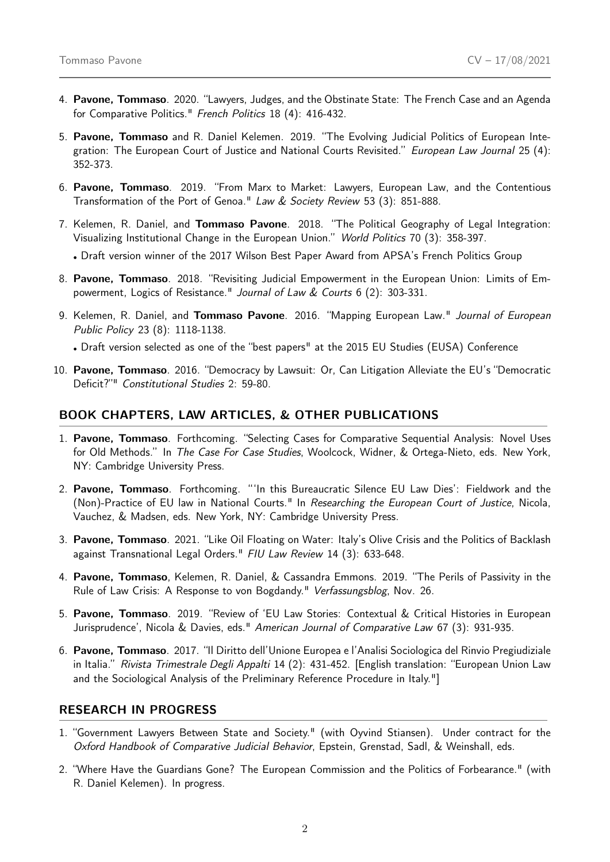- 4. **Pavone, Tommaso**. 2020. "Lawyers, Judges, and the Obstinate State: The French Case and an Agenda for Comparative Politics." French Politics 18 (4): 416-432.
- 5. **Pavone, Tommaso** and R. Daniel Kelemen. 2019. "The Evolving Judicial Politics of European Integration: The European Court of Justice and National Courts Revisited." European Law Journal 25 (4): 352-373.
- 6. **Pavone, Tommaso**. 2019. "From Marx to Market: Lawyers, European Law, and the Contentious Transformation of the Port of Genoa." Law & Society Review 53 (3): 851-888.
- 7. Kelemen, R. Daniel, and **Tommaso Pavone**. 2018. "The Political Geography of Legal Integration: Visualizing Institutional Change in the European Union." World Politics 70 (3): 358-397.
	- Draft version winner of the 2017 Wilson Best Paper Award from APSA's French Politics Group
- 8. **Pavone, Tommaso**. 2018. "Revisiting Judicial Empowerment in the European Union: Limits of Empowerment, Logics of Resistance." Journal of Law & Courts 6 (2): 303-331.
- 9. Kelemen, R. Daniel, and **Tommaso Pavone**. 2016. "Mapping European Law." Journal of European Public Policy 23 (8): 1118-1138.

• Draft version selected as one of the "best papers" at the 2015 EU Studies (EUSA) Conference

10. **Pavone, Tommaso**. 2016. "Democracy by Lawsuit: Or, Can Litigation Alleviate the EU's "Democratic Deficit?"" Constitutional Studies 2: 59-80.

#### **BOOK CHAPTERS, LAW ARTICLES, & OTHER PUBLICATIONS**

- 1. **Pavone, Tommaso**. Forthcoming. "Selecting Cases for Comparative Sequential Analysis: Novel Uses for Old Methods." In The Case For Case Studies, Woolcock, Widner, & Ortega-Nieto, eds. New York, NY: Cambridge University Press.
- 2. **Pavone, Tommaso**. Forthcoming. "'In this Bureaucratic Silence EU Law Dies': Fieldwork and the (Non)-Practice of EU law in National Courts." In Researching the European Court of Justice, Nicola, Vauchez, & Madsen, eds. New York, NY: Cambridge University Press.
- 3. **Pavone, Tommaso**. 2021. "Like Oil Floating on Water: Italy's Olive Crisis and the Politics of Backlash against Transnational Legal Orders." FIU Law Review 14 (3): 633-648.
- 4. **Pavone, Tommaso**, Kelemen, R. Daniel, & Cassandra Emmons. 2019. "The Perils of Passivity in the Rule of Law Crisis: A Response to von Bogdandy." Verfassungsblog, Nov. 26.
- 5. **Pavone, Tommaso**. 2019. "Review of 'EU Law Stories: Contextual & Critical Histories in European Jurisprudence', Nicola & Davies, eds." American Journal of Comparative Law 67 (3): 931-935.
- 6. **Pavone, Tommaso**. 2017. "Il Diritto dell'Unione Europea e l'Analisi Sociologica del Rinvio Pregiudiziale in Italia." Rivista Trimestrale Degli Appalti 14 (2): 431-452. [English translation: "European Union Law and the Sociological Analysis of the Preliminary Reference Procedure in Italy."]

#### **RESEARCH IN PROGRESS**

- 1. "Government Lawyers Between State and Society." (with Oyvind Stiansen). Under contract for the Oxford Handbook of Comparative Judicial Behavior, Epstein, Grenstad, Sadl, & Weinshall, eds.
- 2. "Where Have the Guardians Gone? The European Commission and the Politics of Forbearance." (with R. Daniel Kelemen). In progress.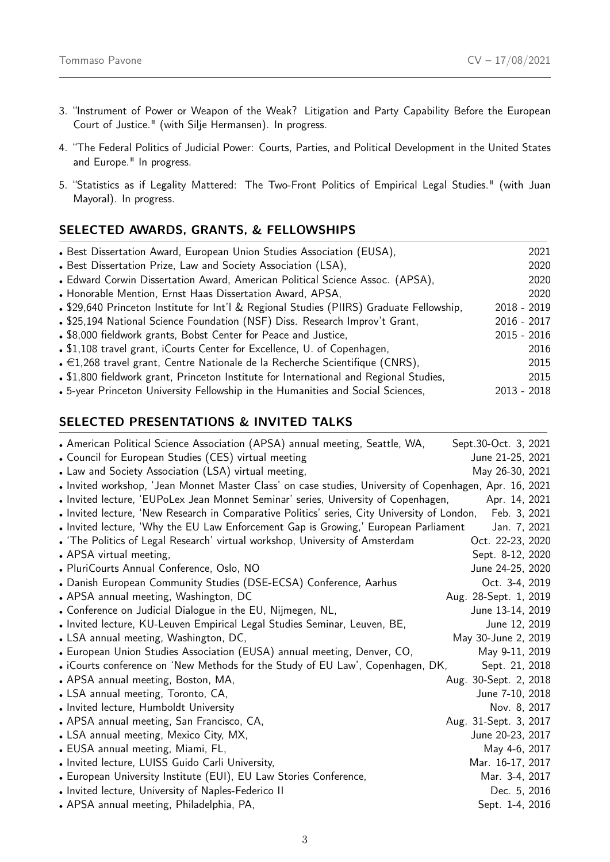- 3. "Instrument of Power or Weapon of the Weak? Litigation and Party Capability Before the European Court of Justice." (with Silje Hermansen). In progress.
- 4. "The Federal Politics of Judicial Power: Courts, Parties, and Political Development in the United States and Europe." In progress.
- 5. "Statistics as if Legality Mattered: The Two-Front Politics of Empirical Legal Studies." (with Juan Mayoral). In progress.

# **SELECTED AWARDS, GRANTS, & FELLOWSHIPS**

| • Best Dissertation Award, European Union Studies Association (EUSA),                     | 2021          |
|-------------------------------------------------------------------------------------------|---------------|
| • Best Dissertation Prize, Law and Society Association (LSA),                             | 2020          |
| • Edward Corwin Dissertation Award, American Political Science Assoc. (APSA),             | 2020          |
| • Honorable Mention, Ernst Haas Dissertation Award, APSA,                                 | 2020          |
| • \$29,640 Princeton Institute for Int'l & Regional Studies (PIIRS) Graduate Fellowship,  | $2018 - 2019$ |
| . \$25,194 National Science Foundation (NSF) Diss. Research Improv't Grant,               | $2016 - 2017$ |
| • \$8,000 fieldwork grants, Bobst Center for Peace and Justice,                           | $2015 - 2016$ |
| • \$1,108 travel grant, iCourts Center for Excellence, U. of Copenhagen,                  | 2016          |
| $\bullet$ $\in$ 1,268 travel grant, Centre Nationale de la Recherche Scientifique (CNRS), | 2015          |
| • \$1,800 fieldwork grant, Princeton Institute for International and Regional Studies,    | 2015          |
| • 5-year Princeton University Fellowship in the Humanities and Social Sciences,           | $2013 - 2018$ |

## **SELECTED PRESENTATIONS & INVITED TALKS**

| • American Political Science Association (APSA) annual meeting, Seattle, WA,                            | Sept.30-Oct. 3, 2021  |
|---------------------------------------------------------------------------------------------------------|-----------------------|
| • Council for European Studies (CES) virtual meeting                                                    | June 21-25, 2021      |
| • Law and Society Association (LSA) virtual meeting,                                                    | May 26-30, 2021       |
| Invited workshop, 'Jean Monnet Master Class' on case studies, University of Copenhagen, Apr. 16, 2021 . |                       |
| • Invited lecture, 'EUPoLex Jean Monnet Seminar' series, University of Copenhagen,                      | Apr. 14, 2021         |
| . Invited lecture, 'New Research in Comparative Politics' series, City University of London,            | Feb. 3, 2021          |
| . Invited lecture, 'Why the EU Law Enforcement Gap is Growing,' European Parliament                     | Jan. 7, 2021          |
| • 'The Politics of Legal Research' virtual workshop, University of Amsterdam                            | Oct. 22-23, 2020      |
| • APSA virtual meeting,                                                                                 | Sept. 8-12, 2020      |
| • PluriCourts Annual Conference, Oslo, NO                                                               | June 24-25, 2020      |
| • Danish European Community Studies (DSE-ECSA) Conference, Aarhus                                       | Oct. 3-4, 2019        |
| • APSA annual meeting, Washington, DC                                                                   | Aug. 28-Sept. 1, 2019 |
| • Conference on Judicial Dialogue in the EU, Nijmegen, NL,                                              | June 13-14, 2019      |
| . Invited lecture, KU-Leuven Empirical Legal Studies Seminar, Leuven, BE,                               | June 12, 2019         |
| • LSA annual meeting, Washington, DC,                                                                   | May 30-June 2, 2019   |
| • European Union Studies Association (EUSA) annual meeting, Denver, CO,                                 | May 9-11, 2019        |
| • iCourts conference on 'New Methods for the Study of EU Law', Copenhagen, DK,                          | Sept. 21, 2018        |
| • APSA annual meeting, Boston, MA,                                                                      | Aug. 30-Sept. 2, 2018 |
| • LSA annual meeting, Toronto, CA,                                                                      | June 7-10, 2018       |
| • Invited lecture, Humboldt University                                                                  | Nov. 8, 2017          |
| • APSA annual meeting, San Francisco, CA,                                                               | Aug. 31-Sept. 3, 2017 |
| • LSA annual meeting, Mexico City, MX,                                                                  | June 20-23, 2017      |
| • EUSA annual meeting, Miami, FL,                                                                       | May 4-6, 2017         |
| • Invited lecture, LUISS Guido Carli University,                                                        | Mar. 16-17, 2017      |
| • European University Institute (EUI), EU Law Stories Conference,                                       | Mar. 3-4, 2017        |
| • Invited lecture, University of Naples-Federico II                                                     | Dec. 5, 2016          |
| • APSA annual meeting, Philadelphia, PA,                                                                | Sept. 1-4, 2016       |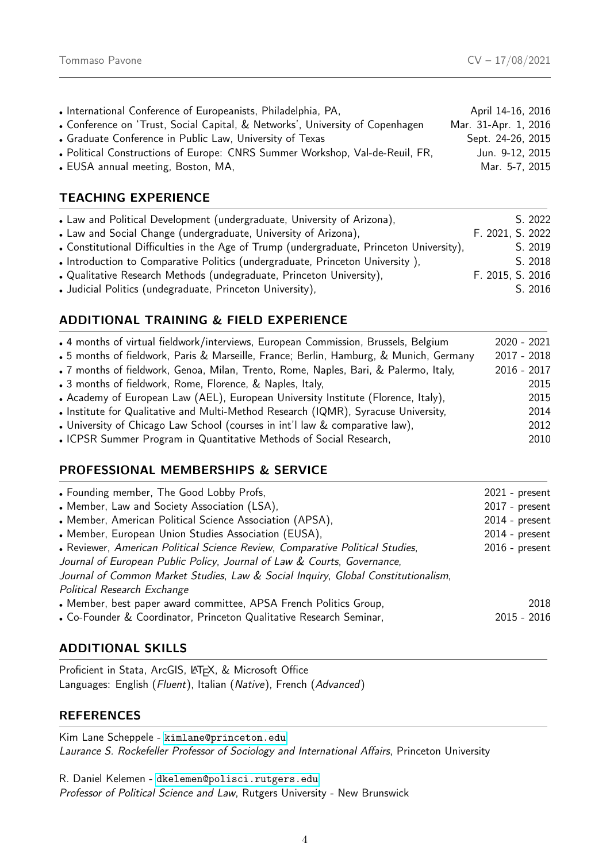| • International Conference of Europeanists, Philadelphia, PA,                 | April 14-16, 2016    |
|-------------------------------------------------------------------------------|----------------------|
| • Conference on 'Trust, Social Capital, & Networks', University of Copenhagen | Mar. 31-Apr. 1, 2016 |
| • Graduate Conference in Public Law, University of Texas                      | Sept. 24-26, 2015    |
| . Political Constructions of Europe: CNRS Summer Workshop, Val-de-Reuil, FR,  | Jun. 9-12, 2015      |
| • EUSA annual meeting, Boston, MA,                                            | Mar. 5-7, 2015       |
|                                                                               |                      |

# **TEACHING EXPERIENCE**

| • Law and Political Development (undergraduate, University of Arizona),                  | S. 2022          |
|------------------------------------------------------------------------------------------|------------------|
| • Law and Social Change (undergraduate, University of Arizona),                          | F. 2021, S. 2022 |
| • Constitutional Difficulties in the Age of Trump (undergraduate, Princeton University), | S. 2019          |
| • Introduction to Comparative Politics (undergraduate, Princeton University),            | S. 2018          |
| • Qualitative Research Methods (undegraduate, Princeton University),                     | F. 2015, S. 2016 |
| • Judicial Politics (undegraduate, Princeton University),                                | S. 2016          |

## **ADDITIONAL TRAINING & FIELD EXPERIENCE**

| . 4 months of virtual fieldwork/interviews, European Commission, Brussels, Belgium     | $2020 - 2021$ |
|----------------------------------------------------------------------------------------|---------------|
| • 5 months of fieldwork, Paris & Marseille, France; Berlin, Hamburg, & Munich, Germany | $2017 - 2018$ |
| . 7 months of fieldwork, Genoa, Milan, Trento, Rome, Naples, Bari, & Palermo, Italy,   | $2016 - 2017$ |
| • 3 months of fieldwork, Rome, Florence, & Naples, Italy,                              | 2015          |
| • Academy of European Law (AEL), European University Institute (Florence, Italy),      | 2015          |
| • Institute for Qualitative and Multi-Method Research (IQMR), Syracuse University,     | 2014          |
| . University of Chicago Law School (courses in int'l law & comparative law),           | 2012          |
| . ICPSR Summer Program in Quantitative Methods of Social Research,                     | 2010          |

## **PROFESSIONAL MEMBERSHIPS & SERVICE**

| $2021$ - present<br>2017 - present |
|------------------------------------|
| $2014$ - present                   |
| $2014$ - present                   |
| $2016$ - present                   |
|                                    |
| 2018<br>2015 - 2016                |
|                                    |

## **ADDITIONAL SKILLS**

Proficient in Stata, ArcGIS, LATEX, & Microsoft Office Languages: English (Fluent), Italian (Native), French (Advanced)

#### **REFERENCES**

Kim Lane Scheppele - <kimlane@princeton.edu> Laurance S. Rockefeller Professor of Sociology and International Affairs, Princeton University

R. Daniel Kelemen - <dkelemen@polisci.rutgers.edu> Professor of Political Science and Law, Rutgers University - New Brunswick